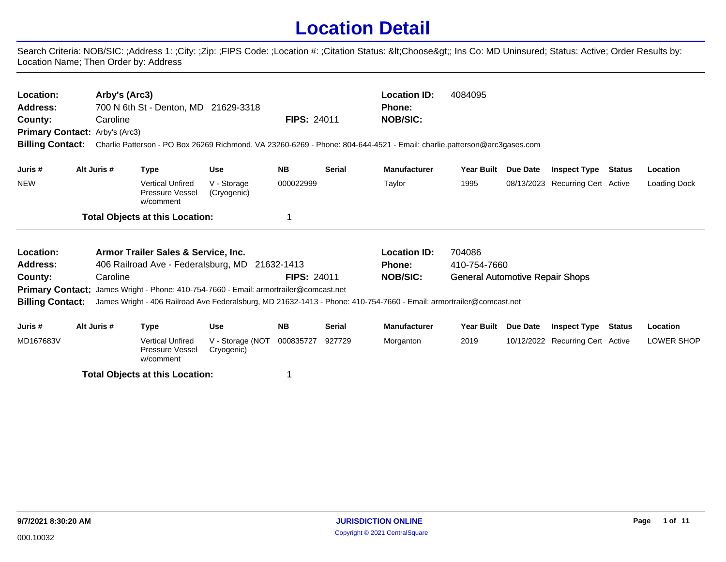## **Location Detail**

Search Criteria: NOB/SIC: ;Address 1: ;City: ;Zip: ;FIPS Code: ;Location #: ;Citation Status: <Choose&gt;; Ins Co: MD Uninsured; Status: Active; Order Results by: Location Name; Then Order by: Address

| Location:<br>Arby's (Arc3)<br><b>Location ID:</b><br>700 N 6th St - Denton, MD 21629-3318<br>Address:<br><b>Phone:</b><br><b>FIPS: 24011</b><br>County:<br>Caroline<br><b>NOB/SIC:</b><br><b>Primary Contact: Arby's (Arc3)</b><br><b>Billing Contact:</b><br>Charlie Patterson - PO Box 26269 Richmond, VA 23260-6269 - Phone: 804-644-4521 - Email: charlie.patterson@arc3gases.com |                                                                                                                                                                                                                                                                                  |                                                         |                                |            |               |                     | 4084095                                |          |                                  |        |              |
|---------------------------------------------------------------------------------------------------------------------------------------------------------------------------------------------------------------------------------------------------------------------------------------------------------------------------------------------------------------------------------------|----------------------------------------------------------------------------------------------------------------------------------------------------------------------------------------------------------------------------------------------------------------------------------|---------------------------------------------------------|--------------------------------|------------|---------------|---------------------|----------------------------------------|----------|----------------------------------|--------|--------------|
| Juris #                                                                                                                                                                                                                                                                                                                                                                               | Alt Juris #                                                                                                                                                                                                                                                                      | <b>Type</b>                                             | <b>Use</b>                     | <b>NB</b>  | <b>Serial</b> | <b>Manufacturer</b> | <b>Year Built</b>                      | Due Date | <b>Inspect Type</b>              | Status | Location     |
| <b>NEW</b>                                                                                                                                                                                                                                                                                                                                                                            |                                                                                                                                                                                                                                                                                  | <b>Vertical Unfired</b><br>Pressure Vessel<br>w/comment | V - Storage<br>(Cryogenic)     | 000022999  |               | Taylor              | 1995                                   |          | 08/13/2023 Recurring Cert Active |        | Loading Dock |
|                                                                                                                                                                                                                                                                                                                                                                                       |                                                                                                                                                                                                                                                                                  | <b>Total Objects at this Location:</b>                  |                                |            |               |                     |                                        |          |                                  |        |              |
| Location:                                                                                                                                                                                                                                                                                                                                                                             |                                                                                                                                                                                                                                                                                  | Armor Trailer Sales & Service, Inc.                     |                                |            |               | <b>Location ID:</b> | 704086                                 |          |                                  |        |              |
| Address:                                                                                                                                                                                                                                                                                                                                                                              |                                                                                                                                                                                                                                                                                  | 406 Railroad Ave - Federalsburg, MD                     |                                | 21632-1413 |               | <b>Phone:</b>       | 410-754-7660                           |          |                                  |        |              |
| County:                                                                                                                                                                                                                                                                                                                                                                               | <b>FIPS: 24011</b><br>Caroline<br><b>Primary Contact:</b> James Wright - Phone: 410-754-7660 - Email: armortrailer@comcast.net<br><b>Billing Contact:</b><br>James Wright - 406 Railroad Ave Federalsburg, MD 21632-1413 - Phone: 410-754-7660 - Email: armortrailer@comcast.net |                                                         |                                |            |               | <b>NOB/SIC:</b>     | <b>General Automotive Repair Shops</b> |          |                                  |        |              |
| Juris #                                                                                                                                                                                                                                                                                                                                                                               | Alt Juris #                                                                                                                                                                                                                                                                      | <b>Type</b>                                             | <b>Use</b>                     | <b>NB</b>  | <b>Serial</b> | <b>Manufacturer</b> | <b>Year Built</b>                      | Due Date | <b>Inspect Type</b>              | Status | Location     |
| MD167683V                                                                                                                                                                                                                                                                                                                                                                             |                                                                                                                                                                                                                                                                                  | <b>Vertical Unfired</b><br><b>Pressure Vessel</b>       | V - Storage (NOT<br>Cryogenic) | 000835727  | 927729        | Morganton           | 2019                                   |          | 10/12/2022 Recurring Cert Active |        | LOWER SHOP   |

**Total Objects at this Location:** 1

w/comment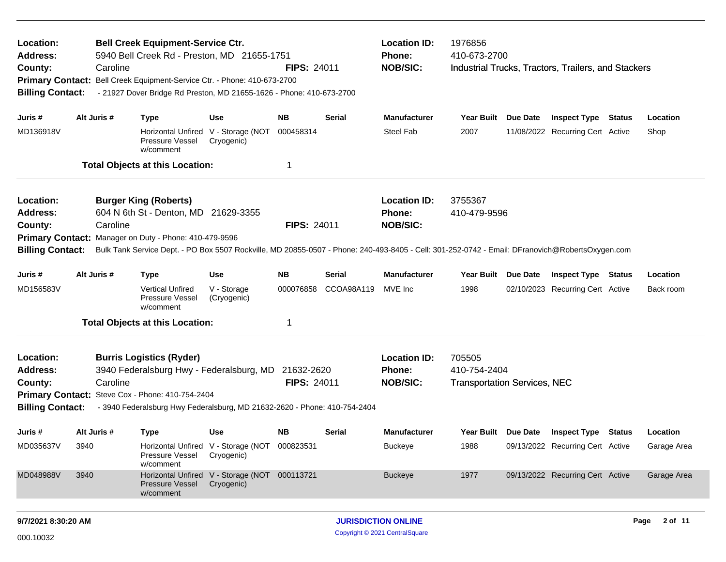| Location:<br><b>Bell Creek Equipment-Service Ctr.</b><br>5940 Bell Creek Rd - Preston, MD 21655-1751<br><b>Address:</b><br>Caroline<br>County:<br>Primary Contact: Bell Creek Equipment-Service Ctr. - Phone: 410-673-2700<br><b>Billing Contact:</b><br>- 21927 Dover Bridge Rd Preston, MD 21655-1626 - Phone: 410-673-2700      |                     |                                                                                                                                                                                                                                                                                   |                                                                    | <b>FIPS: 24011</b>          |                                                  | <b>Location ID:</b><br>Phone:<br><b>NOB/SIC:</b> | 1976856<br>410-673-2700                                       |          | Industrial Trucks, Tractors, Trailers, and Stackers            |               |                         |
|------------------------------------------------------------------------------------------------------------------------------------------------------------------------------------------------------------------------------------------------------------------------------------------------------------------------------------|---------------------|-----------------------------------------------------------------------------------------------------------------------------------------------------------------------------------------------------------------------------------------------------------------------------------|--------------------------------------------------------------------|-----------------------------|--------------------------------------------------|--------------------------------------------------|---------------------------------------------------------------|----------|----------------------------------------------------------------|---------------|-------------------------|
| Juris #<br>MD136918V                                                                                                                                                                                                                                                                                                               | Alt Juris #         | <b>Type</b><br>Pressure Vessel<br>w/comment<br><b>Total Objects at this Location:</b>                                                                                                                                                                                             | Use<br>Horizontal Unfired V - Storage (NOT<br>Cryogenic)           | <b>NB</b><br>000458314<br>1 | Serial                                           | <b>Manufacturer</b><br><b>Steel Fab</b>          | Year Built Due Date<br>2007                                   |          | <b>Inspect Type Status</b><br>11/08/2022 Recurring Cert Active |               | Location<br>Shop        |
| Location:<br><b>Address:</b><br>County:<br><b>Billing Contact:</b>                                                                                                                                                                                                                                                                 | Caroline            | <b>Burger King (Roberts)</b><br>604 N 6th St - Denton, MD 21629-3355<br>Primary Contact: Manager on Duty - Phone: 410-479-9596<br>Bulk Tank Service Dept. - PO Box 5507 Rockville, MD 20855-0507 - Phone: 240-493-8405 - Cell: 301-252-0742 - Email: DFranovich@RobertsOxygen.com |                                                                    | <b>FIPS: 24011</b>          | <b>Location ID:</b><br>Phone:<br><b>NOB/SIC:</b> | 3755367<br>410-479-9596                          |                                                               |          |                                                                |               |                         |
| Juris #<br>MD156583V                                                                                                                                                                                                                                                                                                               | Alt Juris #         | <b>Type</b><br><b>Vertical Unfired</b><br>Pressure Vessel<br>w/comment<br><b>Total Objects at this Location:</b>                                                                                                                                                                  | Use<br>V - Storage<br>(Cryogenic)                                  | <b>NB</b><br>000076858<br>1 | Serial<br>CCOA98A119                             | <b>Manufacturer</b><br>MVE Inc                   | Year Built<br>1998                                            | Due Date | <b>Inspect Type</b><br>02/10/2023 Recurring Cert Active        | <b>Status</b> | Location<br>Back room   |
| Location:<br><b>Burris Logistics (Ryder)</b><br><b>Address:</b><br>3940 Federalsburg Hwy - Federalsburg, MD<br>21632-2620<br>Caroline<br><b>FIPS: 24011</b><br>County:<br>Primary Contact: Steve Cox - Phone: 410-754-2404<br><b>Billing Contact:</b><br>- 3940 Federalsburg Hwy Federalsburg, MD 21632-2620 - Phone: 410-754-2404 |                     |                                                                                                                                                                                                                                                                                   |                                                                    |                             |                                                  | <b>Location ID:</b><br>Phone:<br><b>NOB/SIC:</b> | 705505<br>410-754-2404<br><b>Transportation Services, NEC</b> |          |                                                                |               |                         |
| Juris #<br>MD035637V                                                                                                                                                                                                                                                                                                               | Alt Juris #<br>3940 | <b>Type</b><br>Pressure Vessel<br>w/comment                                                                                                                                                                                                                                       | Use<br>Horizontal Unfired V - Storage (NOT 000823531<br>Cryogenic) | NB.                         | <b>Serial</b>                                    | <b>Manufacturer</b><br><b>Buckeye</b>            | Year Built Due Date<br>1988                                   |          | <b>Inspect Type</b><br>09/13/2022 Recurring Cert Active        | Status        | Location<br>Garage Area |
| MD048988V                                                                                                                                                                                                                                                                                                                          | 3940                | Pressure Vessel<br>w/comment                                                                                                                                                                                                                                                      | Horizontal Unfired V - Storage (NOT 000113721<br>Cryogenic)        |                             |                                                  | <b>Buckeye</b>                                   | 1977                                                          |          | 09/13/2022 Recurring Cert Active                               |               | Garage Area             |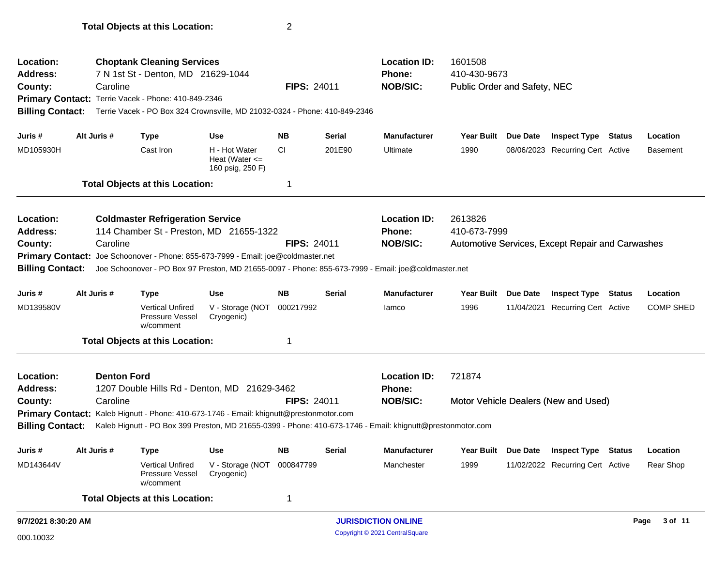| <b>Choptank Cleaning Services</b><br>Location:<br><b>Address:</b><br>7 N 1st St - Denton, MD 21629-1044<br>Caroline<br>County:<br>Primary Contact: Terrie Vacek - Phone: 410-849-2346<br><b>Billing Contact:</b><br>Terrie Vacek - PO Box 324 Crownsville, MD 21032-0324 - Phone: 410-849-2346 |             |                                                                                                            |                                                         | FIPS: 24011        |               | <b>Location ID:</b><br>Phone:<br><b>NOB/SIC:</b> | 1601508<br>410-430-9673<br>Public Order and Safety, NEC |                 |                                                  |               |                  |
|------------------------------------------------------------------------------------------------------------------------------------------------------------------------------------------------------------------------------------------------------------------------------------------------|-------------|------------------------------------------------------------------------------------------------------------|---------------------------------------------------------|--------------------|---------------|--------------------------------------------------|---------------------------------------------------------|-----------------|--------------------------------------------------|---------------|------------------|
| Juris #                                                                                                                                                                                                                                                                                        | Alt Juris # | <b>Type</b>                                                                                                | <b>Use</b>                                              | <b>NB</b>          | <b>Serial</b> | <b>Manufacturer</b>                              | Year Built Due Date                                     |                 | <b>Inspect Type Status</b>                       |               | Location         |
| MD105930H                                                                                                                                                                                                                                                                                      |             | Cast Iron                                                                                                  | H - Hot Water<br>Heat (Water $\leq$<br>160 psig, 250 F) | CI.                | 201E90        | Ultimate                                         | 1990                                                    |                 | 08/06/2023 Recurring Cert Active                 |               | <b>Basement</b>  |
|                                                                                                                                                                                                                                                                                                |             | <b>Total Objects at this Location:</b>                                                                     |                                                         | $\mathbf 1$        |               |                                                  |                                                         |                 |                                                  |               |                  |
| Location:                                                                                                                                                                                                                                                                                      |             | <b>Coldmaster Refrigeration Service</b>                                                                    |                                                         |                    |               | <b>Location ID:</b>                              | 2613826                                                 |                 |                                                  |               |                  |
| <b>Address:</b>                                                                                                                                                                                                                                                                                |             | 114 Chamber St - Preston, MD 21655-1322                                                                    |                                                         |                    |               | <b>Phone:</b>                                    | 410-673-7999                                            |                 |                                                  |               |                  |
| County:                                                                                                                                                                                                                                                                                        | Caroline    |                                                                                                            |                                                         | <b>FIPS: 24011</b> |               | <b>NOB/SIC:</b>                                  |                                                         |                 | Automotive Services, Except Repair and Carwashes |               |                  |
|                                                                                                                                                                                                                                                                                                |             | Primary Contact: Joe Schoonover - Phone: 855-673-7999 - Email: joe@coldmaster.net                          |                                                         |                    |               |                                                  |                                                         |                 |                                                  |               |                  |
| <b>Billing Contact:</b>                                                                                                                                                                                                                                                                        |             | Joe Schoonover - PO Box 97 Preston, MD 21655-0097 - Phone: 855-673-7999 - Email: joe@coldmaster.net        |                                                         |                    |               |                                                  |                                                         |                 |                                                  |               |                  |
| Juris #                                                                                                                                                                                                                                                                                        | Alt Juris # | <b>Type</b>                                                                                                | <b>Use</b>                                              | <b>NB</b>          | Serial        | <b>Manufacturer</b>                              | Year Built Due Date                                     |                 | <b>Inspect Type</b>                              | <b>Status</b> | Location         |
| MD139580V                                                                                                                                                                                                                                                                                      |             | <b>Vertical Unfired</b><br>Pressure Vessel<br>w/comment                                                    | V - Storage (NOT<br>Cryogenic)                          | 000217992          |               | lamco                                            | 1996                                                    |                 | 11/04/2021 Recurring Cert Active                 |               | <b>COMP SHED</b> |
|                                                                                                                                                                                                                                                                                                |             | <b>Total Objects at this Location:</b>                                                                     |                                                         | $\mathbf 1$        |               |                                                  |                                                         |                 |                                                  |               |                  |
| Location:                                                                                                                                                                                                                                                                                      |             | <b>Denton Ford</b>                                                                                         |                                                         |                    |               | <b>Location ID:</b>                              | 721874                                                  |                 |                                                  |               |                  |
| <b>Address:</b>                                                                                                                                                                                                                                                                                |             | 1207 Double Hills Rd - Denton, MD 21629-3462                                                               |                                                         |                    |               | <b>Phone:</b>                                    |                                                         |                 |                                                  |               |                  |
| County:                                                                                                                                                                                                                                                                                        | Caroline    |                                                                                                            |                                                         | <b>FIPS: 24011</b> |               | <b>NOB/SIC:</b>                                  |                                                         |                 | Motor Vehicle Dealers (New and Used)             |               |                  |
| <b>Primary Contact:</b> Kaleb Hignutt - Phone: 410-673-1746 - Email: khignutt@prestonmotor.com                                                                                                                                                                                                 |             |                                                                                                            |                                                         |                    |               |                                                  |                                                         |                 |                                                  |               |                  |
| <b>Billing Contact:</b>                                                                                                                                                                                                                                                                        |             | Kaleb Hignutt - PO Box 399 Preston, MD 21655-0399 - Phone: 410-673-1746 - Email: khignutt@prestonmotor.com |                                                         |                    |               |                                                  |                                                         |                 |                                                  |               |                  |
| Juris #                                                                                                                                                                                                                                                                                        | Alt Juris # | <b>Type</b>                                                                                                | <b>Use</b>                                              | <b>NB</b>          | Serial        | <b>Manufacturer</b>                              | <b>Year Built</b>                                       | <b>Due Date</b> | <b>Inspect Type</b>                              | Status        | Location         |
| MD143644V                                                                                                                                                                                                                                                                                      |             | <b>Vertical Unfired</b><br>Pressure Vessel<br>w/comment                                                    | V - Storage (NOT<br>Cryogenic)                          | 000847799          |               | Manchester                                       | 1999                                                    |                 | 11/02/2022 Recurring Cert Active                 |               | Rear Shop        |
|                                                                                                                                                                                                                                                                                                |             | <b>Total Objects at this Location:</b>                                                                     |                                                         | $\mathbf 1$        |               |                                                  |                                                         |                 |                                                  |               |                  |
| 9/7/2021 8:30:20 AM                                                                                                                                                                                                                                                                            |             |                                                                                                            |                                                         |                    |               | <b>JURISDICTION ONLINE</b>                       |                                                         |                 |                                                  |               | Page<br>3 of 11  |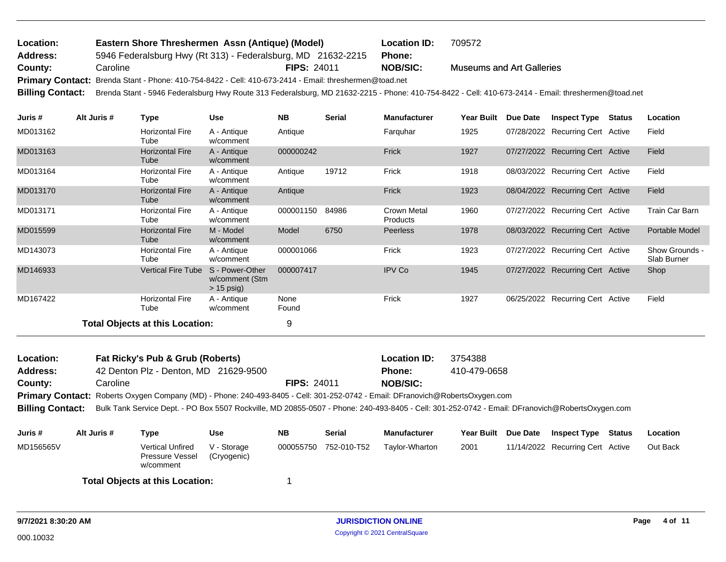| Location:               | Eastern Shore Threshermen Assn (Antique) (Model)                                                       |                    | <b>Location ID:</b> | 709572                                                                                                                                              |
|-------------------------|--------------------------------------------------------------------------------------------------------|--------------------|---------------------|-----------------------------------------------------------------------------------------------------------------------------------------------------|
| <b>Address:</b>         | 5946 Federalsburg Hwy (Rt 313) - Federalsburg, MD 21632-2215                                           |                    | <b>Phone:</b>       |                                                                                                                                                     |
| County:                 | Caroline                                                                                               | <b>FIPS: 24011</b> | <b>NOB/SIC:</b>     | <b>Museums and Art Galleries</b>                                                                                                                    |
|                         | Primary Contact: Brenda Stant - Phone: 410-754-8422 - Cell: 410-673-2414 - Email: threshermen@toad.net |                    |                     |                                                                                                                                                     |
| <b>Billing Contact:</b> |                                                                                                        |                    |                     | Brenda Stant - 5946 Federalsburg Hwy Route 313 Federalsburg, MD 21632-2215 - Phone: 410-754-8422 - Cell: 410-673-2414 - Email: threshermen@toad.net |
|                         |                                                                                                        |                    |                     |                                                                                                                                                     |
| .                       |                                                                                                        |                    |                     |                                                                                                                                                     |

| Juris #  | Alt Juris # | Type                            | Use                                               | <b>NB</b>     | <b>Serial</b> | <b>Manufacturer</b>     | Year Built | Due Date | <b>Inspect Type</b>              | <b>Status</b> | Location                      |
|----------|-------------|---------------------------------|---------------------------------------------------|---------------|---------------|-------------------------|------------|----------|----------------------------------|---------------|-------------------------------|
| MD013162 |             | <b>Horizontal Fire</b><br>Tube  | A - Antique<br>w/comment                          | Antique       |               | Farquhar                | 1925       |          | 07/28/2022 Recurring Cert Active |               | Field                         |
| MD013163 |             | <b>Horizontal Fire</b><br>Tube  | A - Antique<br>w/comment                          | 000000242     |               | Frick                   | 1927       |          | 07/27/2022 Recurring Cert Active |               | Field                         |
| MD013164 |             | <b>Horizontal Fire</b><br>Tube  | A - Antique<br>w/comment                          | Antique       | 19712         | Frick                   | 1918       |          | 08/03/2022 Recurring Cert Active |               | Field                         |
| MD013170 |             | <b>Horizontal Fire</b><br>Tube  | A - Antique<br>w/comment                          | Antique       |               | Frick                   | 1923       |          | 08/04/2022 Recurring Cert Active |               | Field                         |
| MD013171 |             | <b>Horizontal Fire</b><br>Tube  | A - Antique<br>w/comment                          | 000001150     | 84986         | Crown Metal<br>Products | 1960       |          | 07/27/2022 Recurring Cert Active |               | Train Car Barn                |
| MD015599 |             | <b>Horizontal Fire</b><br>Tube  | M - Model<br>w/comment                            | Model         | 6750          | <b>Peerless</b>         | 1978       |          | 08/03/2022 Recurring Cert Active |               | Portable Model                |
| MD143073 |             | <b>Horizontal Fire</b><br>Tube  | A - Antique<br>w/comment                          | 000001066     |               | Frick                   | 1923       |          | 07/27/2022 Recurring Cert Active |               | Show Grounds -<br>Slab Burner |
| MD146933 |             | <b>Vertical Fire Tube</b>       | S - Power-Other<br>w/comment (Stm<br>$> 15$ psig) | 000007417     |               | <b>IPV Co</b>           | 1945       |          | 07/27/2022 Recurring Cert Active |               | Shop                          |
| MD167422 |             | <b>Horizontal Fire</b><br>Tube  | A - Antique<br>w/comment                          | None<br>Found |               | Frick                   | 1927       |          | 06/25/2022 Recurring Cert Active |               | Field                         |
|          |             | Total Objects at this Location: |                                                   | 9             |               |                         |            |          |                                  |               |                               |

| Location:               | Fat Ricky's Pub & Grub (Roberts) |      |                                       |    |               | Location ID:                                                                                                                                    | 3754388           |                 |                     |               |          |
|-------------------------|----------------------------------|------|---------------------------------------|----|---------------|-------------------------------------------------------------------------------------------------------------------------------------------------|-------------------|-----------------|---------------------|---------------|----------|
| <b>Address:</b>         |                                  |      | 42 Denton Plz - Denton, MD 21629-9500 |    |               | <b>Phone:</b>                                                                                                                                   | 410-479-0658      |                 |                     |               |          |
| County:                 | Caroline                         |      |                                       |    | FIPS: 24011   | NOB/SIC:                                                                                                                                        |                   |                 |                     |               |          |
|                         |                                  |      |                                       |    |               | Primary Contact: Roberts Oxygen Company (MD) - Phone: 240-493-8405 - Cell: 301-252-0742 - Email: DFranovich@RobertsOxygen.com                   |                   |                 |                     |               |          |
| <b>Billing Contact:</b> |                                  |      |                                       |    |               | Bulk Tank Service Dept. - PO Box 5507 Rockville, MD 20855-0507 - Phone: 240-493-8405 - Cell: 301-252-0742 - Email: DFranovich@RobertsOxygen.com |                   |                 |                     |               |          |
|                         |                                  |      |                                       |    |               |                                                                                                                                                 |                   |                 |                     |               |          |
| Juris #                 | Alt Juris #                      | Type | <b>Use</b>                            | NΒ | <b>Serial</b> | <b>Manufacturer</b>                                                                                                                             | <b>Year Built</b> | <b>Due Date</b> | <b>Inspect Type</b> | <b>Status</b> | Location |

| Juris #   | AIT JUITS $\bm{\#}$ | i vpe                                                   | use                        | ND | əerial                | <b>Manufacturer</b> |      | rear Bullt Due Date | <b>Inspect Type Status</b>       | Location |
|-----------|---------------------|---------------------------------------------------------|----------------------------|----|-----------------------|---------------------|------|---------------------|----------------------------------|----------|
| MD156565V |                     | <b>Vertical Unfired</b><br>Pressure Vessel<br>w/comment | V - Storage<br>(Cryogenic) |    | 000055750 752-010-T52 | Tavlor-Wharton      | 2001 |                     | 11/14/2022 Recurring Cert Active | Out Back |
|           |                     | <b>Total Objects at this Location:</b>                  |                            |    |                       |                     |      |                     |                                  |          |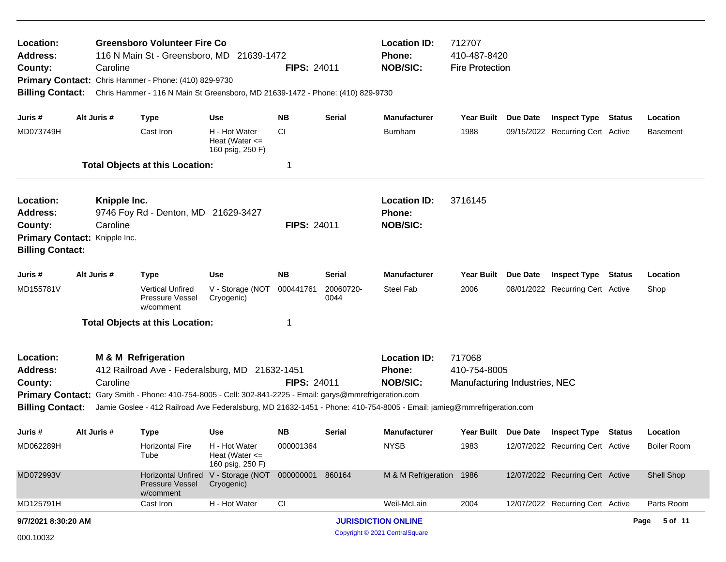| Location:<br>Address:<br>County:<br><b>Billing Contact:</b>        | Caroline                                                  | <b>Greensboro Volunteer Fire Co</b><br>116 N Main St - Greensboro, MD 21639-1472<br>Primary Contact: Chris Hammer - Phone: (410) 829-9730<br>Chris Hammer - 116 N Main St Greensboro, MD 21639-1472 - Phone: (410) 829-9730 |                                                         | <b>FIPS: 24011</b> |                   | <b>Location ID:</b><br>Phone:<br><b>NOB/SIC:</b>                                                                                                                          | 712707<br>410-487-8420<br><b>Fire Protection</b>        |                 |                                  |               |                    |  |
|--------------------------------------------------------------------|-----------------------------------------------------------|-----------------------------------------------------------------------------------------------------------------------------------------------------------------------------------------------------------------------------|---------------------------------------------------------|--------------------|-------------------|---------------------------------------------------------------------------------------------------------------------------------------------------------------------------|---------------------------------------------------------|-----------------|----------------------------------|---------------|--------------------|--|
| Juris #                                                            | Alt Juris #                                               | <b>Type</b>                                                                                                                                                                                                                 | <b>Use</b>                                              | <b>NB</b>          | Serial            | <b>Manufacturer</b>                                                                                                                                                       | Year Built                                              | Due Date        | <b>Inspect Type Status</b>       |               | Location           |  |
| MD073749H                                                          |                                                           | Cast Iron                                                                                                                                                                                                                   | H - Hot Water<br>Heat (Water $\leq$<br>160 psig, 250 F) | <b>CI</b>          |                   | <b>Burnham</b>                                                                                                                                                            | 1988                                                    |                 | 09/15/2022 Recurring Cert Active |               | Basement           |  |
|                                                                    |                                                           | <b>Total Objects at this Location:</b>                                                                                                                                                                                      |                                                         | -1                 |                   |                                                                                                                                                                           |                                                         |                 |                                  |               |                    |  |
| Location:<br><b>Address:</b><br>County:<br><b>Billing Contact:</b> | Knipple Inc.<br>Caroline<br>Primary Contact: Knipple Inc. | 9746 Foy Rd - Denton, MD 21629-3427                                                                                                                                                                                         |                                                         | <b>FIPS: 24011</b> |                   | <b>Location ID:</b><br>Phone:<br><b>NOB/SIC:</b>                                                                                                                          | 3716145                                                 |                 |                                  |               |                    |  |
| Juris #                                                            | Alt Juris #                                               | <b>Type</b>                                                                                                                                                                                                                 | <b>Use</b>                                              | <b>NB</b>          | Serial            | <b>Manufacturer</b>                                                                                                                                                       | <b>Year Built</b>                                       | <b>Due Date</b> | <b>Inspect Type</b>              | <b>Status</b> | Location           |  |
| MD155781V                                                          |                                                           | <b>Vertical Unfired</b><br>Pressure Vessel<br>w/comment                                                                                                                                                                     | V - Storage (NOT<br>Cryogenic)                          | 000441761          | 20060720-<br>0044 | Steel Fab                                                                                                                                                                 | 2006                                                    |                 | 08/01/2022 Recurring Cert Active |               | Shop               |  |
|                                                                    |                                                           | <b>Total Objects at this Location:</b>                                                                                                                                                                                      |                                                         | -1                 |                   |                                                                                                                                                                           |                                                         |                 |                                  |               |                    |  |
| Location:<br><b>Address:</b><br>County:<br><b>Billing Contact:</b> | Caroline                                                  | <b>M &amp; M Refrigeration</b><br>412 Railroad Ave - Federalsburg, MD 21632-1451<br>Primary Contact: Gary Smith - Phone: 410-754-8005 - Cell: 302-841-2225 - Email: garys@mmrefrigeration.com                               |                                                         | <b>FIPS: 24011</b> |                   | <b>Location ID:</b><br>Phone:<br><b>NOB/SIC:</b><br>Jamie Goslee - 412 Railroad Ave Federalsburg, MD 21632-1451 - Phone: 410-754-8005 - Email: jamieg@mmrefrigeration.com | 717068<br>410-754-8005<br>Manufacturing Industries, NEC |                 |                                  |               |                    |  |
| Juris #                                                            | Alt Juris #                                               | <b>Type</b>                                                                                                                                                                                                                 | Use                                                     | <b>NB</b>          | Serial            | <b>Manufacturer</b>                                                                                                                                                       | Year Built Due Date                                     |                 | <b>Inspect Type</b>              | Status        | Location           |  |
| MD062289H                                                          |                                                           | <b>Horizontal Fire</b><br>Tube                                                                                                                                                                                              | H - Hot Water<br>Heat (Water $\leq$<br>160 psig, 250 F) | 000001364          |                   | <b>NYSB</b>                                                                                                                                                               | 1983                                                    |                 | 12/07/2022 Recurring Cert Active |               | <b>Boiler Room</b> |  |
| MD072993V                                                          |                                                           | <b>Horizontal Unfired</b><br>Pressure Vessel<br>w/comment                                                                                                                                                                   | V - Storage (NOT<br>Cryogenic)                          | 000000001          | 860164            | M & M Refrigeration 1986                                                                                                                                                  |                                                         |                 | 12/07/2022 Recurring Cert Active |               | Shell Shop         |  |
| MD125791H                                                          |                                                           | Cast Iron                                                                                                                                                                                                                   | H - Hot Water                                           | CI                 |                   | Weil-McLain                                                                                                                                                               | 2004                                                    |                 | 12/07/2022 Recurring Cert Active |               | Parts Room         |  |
| 9/7/2021 8:30:20 AM                                                |                                                           |                                                                                                                                                                                                                             |                                                         |                    |                   | <b>JURISDICTION ONLINE</b>                                                                                                                                                |                                                         |                 |                                  |               | 5 of 11<br>Page    |  |
| 000.10032                                                          |                                                           |                                                                                                                                                                                                                             |                                                         |                    |                   | Copyright © 2021 CentralSquare                                                                                                                                            |                                                         |                 |                                  |               |                    |  |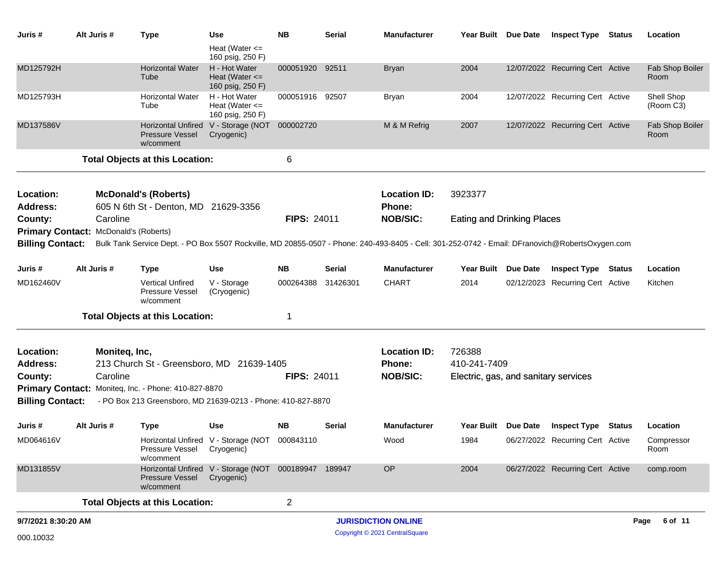| Juris #                 | Alt Juris #                           | <b>Type</b>                                                                                                                                     | Use                                                         | <b>NB</b>          | <b>Serial</b> | <b>Manufacturer</b>        | Year Built Due Date                  | <b>Inspect Type Status</b>       | Location                |
|-------------------------|---------------------------------------|-------------------------------------------------------------------------------------------------------------------------------------------------|-------------------------------------------------------------|--------------------|---------------|----------------------------|--------------------------------------|----------------------------------|-------------------------|
|                         |                                       |                                                                                                                                                 | Heat (Water $\leq$<br>160 psig, 250 F)                      |                    |               |                            |                                      |                                  |                         |
| MD125792H               |                                       | <b>Horizontal Water</b><br>Tube                                                                                                                 | H - Hot Water<br>Heat (Water $\leq$<br>160 psig, 250 F)     | 000051920 92511    |               | <b>Bryan</b>               | 2004                                 | 12/07/2022 Recurring Cert Active | Fab Shop Boiler<br>Room |
| MD125793H               |                                       | <b>Horizontal Water</b><br>Tube                                                                                                                 | H - Hot Water<br>Heat (Water $\leq$<br>160 psig, 250 F)     | 000051916 92507    |               | Bryan                      | 2004                                 | 12/07/2022 Recurring Cert Active | Shell Shop<br>(Room C3) |
| MD137586V               |                                       | <b>Pressure Vessel</b><br>w/comment                                                                                                             | Horizontal Unfired V - Storage (NOT 000002720<br>Cryogenic) |                    |               | M & M Refrig               | 2007                                 | 12/07/2022 Recurring Cert Active | Fab Shop Boiler<br>Room |
|                         |                                       | <b>Total Objects at this Location:</b>                                                                                                          |                                                             | 6                  |               |                            |                                      |                                  |                         |
| Location:               |                                       | <b>McDonald's (Roberts)</b>                                                                                                                     |                                                             |                    |               | <b>Location ID:</b>        | 3923377                              |                                  |                         |
| <b>Address:</b>         |                                       | 605 N 6th St - Denton, MD 21629-3356                                                                                                            |                                                             |                    |               | <b>Phone:</b>              |                                      |                                  |                         |
| County:                 | Caroline                              |                                                                                                                                                 |                                                             | <b>FIPS: 24011</b> |               | <b>NOB/SIC:</b>            | <b>Eating and Drinking Places</b>    |                                  |                         |
|                         | Primary Contact: McDonald's (Roberts) |                                                                                                                                                 |                                                             |                    |               |                            |                                      |                                  |                         |
| <b>Billing Contact:</b> |                                       | Bulk Tank Service Dept. - PO Box 5507 Rockville, MD 20855-0507 - Phone: 240-493-8405 - Cell: 301-252-0742 - Email: DFranovich@RobertsOxygen.com |                                                             |                    |               |                            |                                      |                                  |                         |
| Juris #                 | Alt Juris #                           | Type                                                                                                                                            | <b>Use</b>                                                  | <b>NB</b>          | <b>Serial</b> | <b>Manufacturer</b>        | Year Built Due Date                  | <b>Inspect Type Status</b>       | Location                |
| MD162460V               |                                       | <b>Vertical Unfired</b><br>Pressure Vessel<br>w/comment                                                                                         | V - Storage<br>(Cryogenic)                                  | 000264388          | 31426301      | <b>CHART</b>               | 2014                                 | 02/12/2023 Recurring Cert Active | Kitchen                 |
|                         |                                       | <b>Total Objects at this Location:</b>                                                                                                          |                                                             | -1                 |               |                            |                                      |                                  |                         |
| Location:               | Moniteq, Inc,                         |                                                                                                                                                 |                                                             |                    |               | <b>Location ID:</b>        | 726388                               |                                  |                         |
| <b>Address:</b>         |                                       | 213 Church St - Greensboro, MD 21639-1405                                                                                                       |                                                             |                    |               | <b>Phone:</b>              | 410-241-7409                         |                                  |                         |
| County:                 | Caroline                              |                                                                                                                                                 |                                                             | <b>FIPS: 24011</b> |               | <b>NOB/SIC:</b>            | Electric, gas, and sanitary services |                                  |                         |
|                         |                                       | Primary Contact: Moniteq, Inc. - Phone: 410-827-8870                                                                                            |                                                             |                    |               |                            |                                      |                                  |                         |
| <b>Billing Contact:</b> |                                       | - PO Box 213 Greensboro, MD 21639-0213 - Phone: 410-827-8870                                                                                    |                                                             |                    |               |                            |                                      |                                  |                         |
| Juris #                 | Alt Juris #                           | <b>Type</b>                                                                                                                                     | <b>Use</b>                                                  | <b>NB</b>          | <b>Serial</b> | <b>Manufacturer</b>        | Year Built Due Date                  | <b>Inspect Type Status</b>       | Location                |
| MD064616V               |                                       | Pressure Vessel Cryogenic)<br>w/comment                                                                                                         | Horizontal Unfired V - Storage (NOT 000843110               |                    |               | Wood                       | 1984                                 | 06/27/2022 Recurring Cert Active | Compressor<br>Room      |
| MD131855V               |                                       | Pressure Vessel Cryogenic)<br>w/comment                                                                                                         | Horizontal Unfired V - Storage (NOT 000189947 189947        |                    |               | OP                         | 2004                                 | 06/27/2022 Recurring Cert Active | comp.room               |
|                         |                                       | <b>Total Objects at this Location:</b>                                                                                                          |                                                             | $\overline{2}$     |               |                            |                                      |                                  |                         |
| 9/7/2021 8:30:20 AM     |                                       |                                                                                                                                                 |                                                             |                    |               | <b>JURISDICTION ONLINE</b> |                                      |                                  | Page 6 of 11            |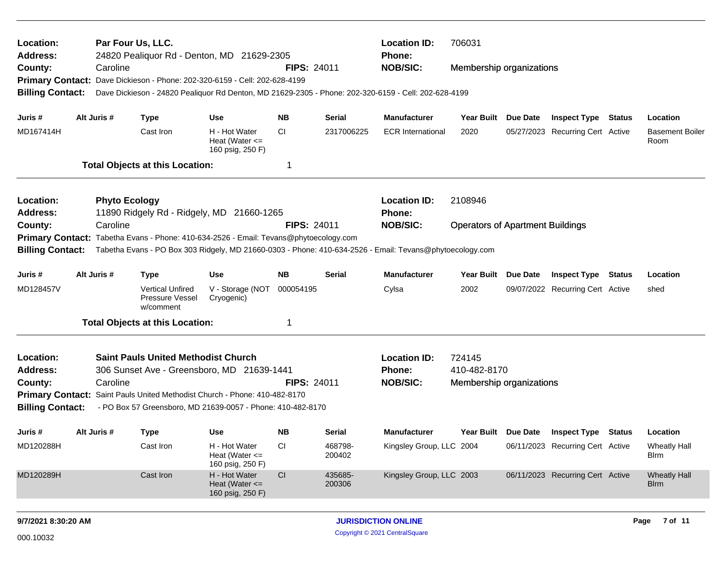| Location:<br>Address:<br>County:<br><b>Billing Contact:</b> | Caroline             | Par Four Us, LLC.<br>24820 Pealiquor Rd - Denton, MD 21629-2305<br>Primary Contact: Dave Dickieson - Phone: 202-320-6159 - Cell: 202-628-4199 |                                                         | <b>FIPS: 24011</b> | 706031<br><b>Location ID:</b><br>Phone:<br><b>NOB/SIC:</b><br>Membership organizations<br>Dave Dickieson - 24820 Pealiquor Rd Denton, MD 21629-2305 - Phone: 202-320-6159 - Cell: 202-628-4199 |                            |                                         |                 |                                  |               |                                    |
|-------------------------------------------------------------|----------------------|-----------------------------------------------------------------------------------------------------------------------------------------------|---------------------------------------------------------|--------------------|------------------------------------------------------------------------------------------------------------------------------------------------------------------------------------------------|----------------------------|-----------------------------------------|-----------------|----------------------------------|---------------|------------------------------------|
|                                                             |                      |                                                                                                                                               |                                                         |                    |                                                                                                                                                                                                |                            |                                         |                 |                                  |               |                                    |
| Juris #                                                     | Alt Juris #          | <b>Type</b>                                                                                                                                   | <b>Use</b>                                              | <b>NB</b>          | <b>Serial</b>                                                                                                                                                                                  | <b>Manufacturer</b>        | Year Built Due Date                     |                 | <b>Inspect Type Status</b>       |               | Location                           |
| MD167414H                                                   |                      | Cast Iron                                                                                                                                     | H - Hot Water<br>Heat (Water $\leq$<br>160 psig, 250 F) | CI.                | 2317006225                                                                                                                                                                                     | <b>ECR International</b>   | 2020                                    |                 | 05/27/2023 Recurring Cert Active |               | <b>Basement Boiler</b><br>Room     |
|                                                             |                      | <b>Total Objects at this Location:</b>                                                                                                        |                                                         | -1                 |                                                                                                                                                                                                |                            |                                         |                 |                                  |               |                                    |
| Location:                                                   | <b>Phyto Ecology</b> |                                                                                                                                               |                                                         |                    |                                                                                                                                                                                                | <b>Location ID:</b>        | 2108946                                 |                 |                                  |               |                                    |
| Address:                                                    |                      | 11890 Ridgely Rd - Ridgely, MD 21660-1265                                                                                                     |                                                         |                    |                                                                                                                                                                                                | Phone:                     |                                         |                 |                                  |               |                                    |
| County:                                                     | Caroline             |                                                                                                                                               |                                                         | <b>FIPS: 24011</b> |                                                                                                                                                                                                | <b>NOB/SIC:</b>            | <b>Operators of Apartment Buildings</b> |                 |                                  |               |                                    |
|                                                             |                      | Primary Contact: Tabetha Evans - Phone: 410-634-2526 - Email: Tevans@phytoecology.com                                                         |                                                         |                    |                                                                                                                                                                                                |                            |                                         |                 |                                  |               |                                    |
| <b>Billing Contact:</b>                                     |                      | Tabetha Evans - PO Box 303 Ridgely, MD 21660-0303 - Phone: 410-634-2526 - Email: Tevans@phytoecology.com                                      |                                                         |                    |                                                                                                                                                                                                |                            |                                         |                 |                                  |               |                                    |
| Juris #                                                     | Alt Juris #          | <b>Type</b>                                                                                                                                   | Use                                                     | <b>NB</b>          | <b>Serial</b>                                                                                                                                                                                  | <b>Manufacturer</b>        | <b>Year Built</b>                       | <b>Due Date</b> | <b>Inspect Type</b>              | <b>Status</b> | Location                           |
| MD128457V                                                   |                      | <b>Vertical Unfired</b><br>Pressure Vessel<br>w/comment                                                                                       | V - Storage (NOT<br>Cryogenic)                          | 000054195          |                                                                                                                                                                                                | Cylsa                      | 2002                                    |                 | 09/07/2022 Recurring Cert Active |               | shed                               |
|                                                             |                      | <b>Total Objects at this Location:</b>                                                                                                        |                                                         | -1                 |                                                                                                                                                                                                |                            |                                         |                 |                                  |               |                                    |
| Location:                                                   |                      | <b>Saint Pauls United Methodist Church</b>                                                                                                    |                                                         |                    |                                                                                                                                                                                                | <b>Location ID:</b>        | 724145                                  |                 |                                  |               |                                    |
| <b>Address:</b>                                             |                      | 306 Sunset Ave - Greensboro, MD 21639-1441                                                                                                    |                                                         |                    |                                                                                                                                                                                                | Phone:                     | 410-482-8170                            |                 |                                  |               |                                    |
| County:                                                     | Caroline             |                                                                                                                                               |                                                         | <b>FIPS: 24011</b> |                                                                                                                                                                                                | <b>NOB/SIC:</b>            | Membership organizations                |                 |                                  |               |                                    |
|                                                             |                      | Primary Contact: Saint Pauls United Methodist Church - Phone: 410-482-8170                                                                    |                                                         |                    |                                                                                                                                                                                                |                            |                                         |                 |                                  |               |                                    |
| <b>Billing Contact:</b>                                     |                      | - PO Box 57 Greensboro, MD 21639-0057 - Phone: 410-482-8170                                                                                   |                                                         |                    |                                                                                                                                                                                                |                            |                                         |                 |                                  |               |                                    |
| Juris #                                                     | Alt Juris #          | <b>Type</b>                                                                                                                                   | <b>Use</b>                                              | NB.                | <b>Serial</b>                                                                                                                                                                                  | <b>Manufacturer</b>        | Year Built Due Date                     |                 | <b>Inspect Type Status</b>       |               | Location                           |
| MD120288H                                                   |                      | Cast Iron                                                                                                                                     | H - Hot Water<br>Heat (Water $\leq$<br>160 psig, 250 F) | <b>CI</b>          | 468798-<br>200402                                                                                                                                                                              | Kingsley Group, LLC 2004   |                                         |                 | 06/11/2023 Recurring Cert Active |               | <b>Wheatly Hall</b><br><b>Blrm</b> |
| MD120289H                                                   |                      | Cast Iron                                                                                                                                     | H - Hot Water<br>Heat (Water $\leq$<br>160 psig, 250 F) | CI                 | 435685-<br>200306                                                                                                                                                                              | Kingsley Group, LLC 2003   |                                         |                 | 06/11/2023 Recurring Cert Active |               | <b>Wheatly Hall</b><br><b>Blrm</b> |
| 9/7/2021 8:30:20 AM                                         |                      |                                                                                                                                               |                                                         |                    |                                                                                                                                                                                                | <b>JURISDICTION ONLINE</b> |                                         |                 |                                  |               | 7 of 11<br>Page                    |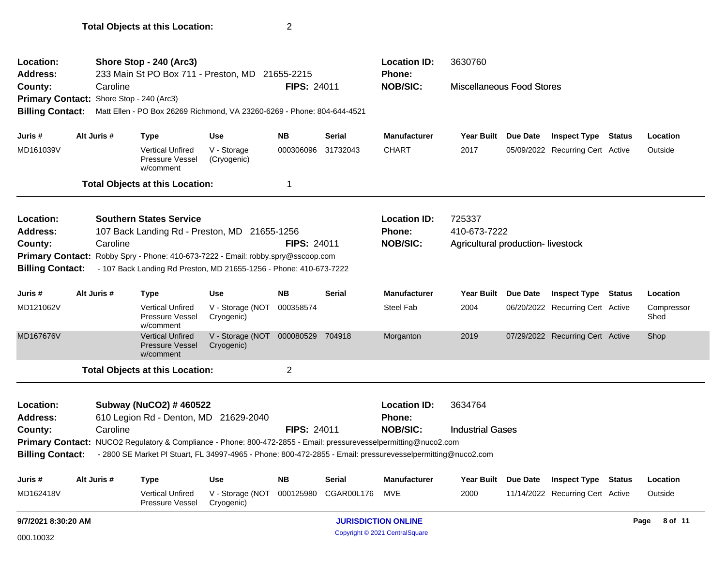| Location:                                         |  |                                                                    | Shore Stop - 240 (Arc3)<br>233 Main St PO Box 711 - Preston, MD 21655-2215                                       |                                |                    |               | <b>Location ID:</b><br><b>Phone:</b> | 3630760                           |                     |                                  |               |                    |
|---------------------------------------------------|--|--------------------------------------------------------------------|------------------------------------------------------------------------------------------------------------------|--------------------------------|--------------------|---------------|--------------------------------------|-----------------------------------|---------------------|----------------------------------|---------------|--------------------|
| <b>Address:</b><br>County:                        |  | Caroline                                                           |                                                                                                                  |                                | <b>FIPS: 24011</b> |               | <b>NOB/SIC:</b>                      | <b>Miscellaneous Food Stores</b>  |                     |                                  |               |                    |
| Primary Contact: Shore Stop - 240 (Arc3)          |  |                                                                    |                                                                                                                  |                                |                    |               |                                      |                                   |                     |                                  |               |                    |
| <b>Billing Contact:</b>                           |  |                                                                    | Matt Ellen - PO Box 26269 Richmond, VA 23260-6269 - Phone: 804-644-4521                                          |                                |                    |               |                                      |                                   |                     |                                  |               |                    |
|                                                   |  |                                                                    |                                                                                                                  |                                |                    |               |                                      |                                   |                     |                                  |               |                    |
| Juris #                                           |  | Alt Juris #                                                        | <b>Type</b>                                                                                                      | Use                            | NB.                | <b>Serial</b> | <b>Manufacturer</b>                  | <b>Year Built</b>                 | Due Date            | <b>Inspect Type</b>              | Status        | Location           |
| MD161039V                                         |  |                                                                    | <b>Vertical Unfired</b><br><b>Pressure Vessel</b><br>w/comment                                                   | V - Storage<br>(Cryogenic)     | 000306096          | 31732043      | <b>CHART</b>                         | 2017                              |                     | 05/09/2022 Recurring Cert Active |               | Outside            |
|                                                   |  |                                                                    | <b>Total Objects at this Location:</b>                                                                           |                                | 1                  |               |                                      |                                   |                     |                                  |               |                    |
| Location:                                         |  |                                                                    | <b>Southern States Service</b>                                                                                   |                                |                    |               | <b>Location ID:</b>                  | 725337                            |                     |                                  |               |                    |
| <b>Address:</b>                                   |  |                                                                    | 107 Back Landing Rd - Preston, MD 21655-1256                                                                     |                                |                    |               | <b>Phone:</b>                        | 410-673-7222                      |                     |                                  |               |                    |
| County:                                           |  | Caroline                                                           |                                                                                                                  |                                | <b>FIPS: 24011</b> |               | <b>NOB/SIC:</b>                      | Agricultural production-livestock |                     |                                  |               |                    |
|                                                   |  |                                                                    | Primary Contact: Robby Spry - Phone: 410-673-7222 - Email: robby.spry@sscoop.com                                 |                                |                    |               |                                      |                                   |                     |                                  |               |                    |
| <b>Billing Contact:</b>                           |  | - 107 Back Landing Rd Preston, MD 21655-1256 - Phone: 410-673-7222 |                                                                                                                  |                                |                    |               |                                      |                                   |                     |                                  |               |                    |
| Juris #                                           |  | Alt Juris #                                                        | <b>Type</b>                                                                                                      | Use                            | <b>NB</b>          | Serial        | <b>Manufacturer</b>                  | <b>Year Built</b>                 | <b>Due Date</b>     | <b>Inspect Type</b>              | <b>Status</b> | Location           |
| MD121062V                                         |  |                                                                    | <b>Vertical Unfired</b><br>Pressure Vessel<br>w/comment                                                          | V - Storage (NOT<br>Cryogenic) | 000358574          |               | <b>Steel Fab</b>                     | 2004                              |                     | 06/20/2022 Recurring Cert Active |               | Compressor<br>Shed |
| MD167676V                                         |  |                                                                    | <b>Vertical Unfired</b><br><b>Pressure Vessel</b><br>w/comment                                                   | V - Storage (NOT<br>Cryogenic) | 000080529 704918   |               | Morganton                            | 2019                              |                     | 07/29/2022 Recurring Cert Active |               | Shop               |
|                                                   |  |                                                                    | <b>Total Objects at this Location:</b>                                                                           |                                | $\overline{2}$     |               |                                      |                                   |                     |                                  |               |                    |
| Location:                                         |  |                                                                    | Subway (NuCO2) # 460522                                                                                          |                                |                    |               | <b>Location ID:</b>                  | 3634764                           |                     |                                  |               |                    |
| <b>Address:</b>                                   |  |                                                                    | 610 Legion Rd - Denton, MD 21629-2040                                                                            |                                |                    |               | <b>Phone:</b>                        |                                   |                     |                                  |               |                    |
| County:                                           |  | Caroline                                                           |                                                                                                                  |                                | <b>FIPS: 24011</b> |               | <b>NOB/SIC:</b>                      | <b>Industrial Gases</b>           |                     |                                  |               |                    |
|                                                   |  |                                                                    | Primary Contact: NUCO2 Regulatory & Compliance - Phone: 800-472-2855 - Email: pressurevesselpermitting@nuco2.com |                                |                    |               |                                      |                                   |                     |                                  |               |                    |
| <b>Billing Contact:</b>                           |  |                                                                    | - 2800 SE Market PI Stuart, FL 34997-4965 - Phone: 800-472-2855 - Email: pressurevesselpermitting@nuco2.com      |                                |                    |               |                                      |                                   |                     |                                  |               |                    |
| Juris #                                           |  | Alt Juris #                                                        | <b>Type</b>                                                                                                      | <b>Use</b>                     | <b>NB</b>          | <b>Serial</b> | Manufacturer                         |                                   | Year Built Due Date | <b>Inspect Type Status</b>       |               | Location           |
| MD162418V                                         |  |                                                                    | <b>Vertical Unfired</b><br>Pressure Vessel                                                                       | V - Storage (NOT<br>Cryogenic) | 000125980          | CGAR00L176    | MVE                                  | 2000                              |                     | 11/14/2022 Recurring Cert Active |               | Outside            |
| 9/7/2021 8:30:20 AM<br><b>JURISDICTION ONLINE</b> |  |                                                                    |                                                                                                                  |                                |                    |               |                                      |                                   |                     | Page 8 of 11                     |               |                    |

**Total Objects at this Location:** 2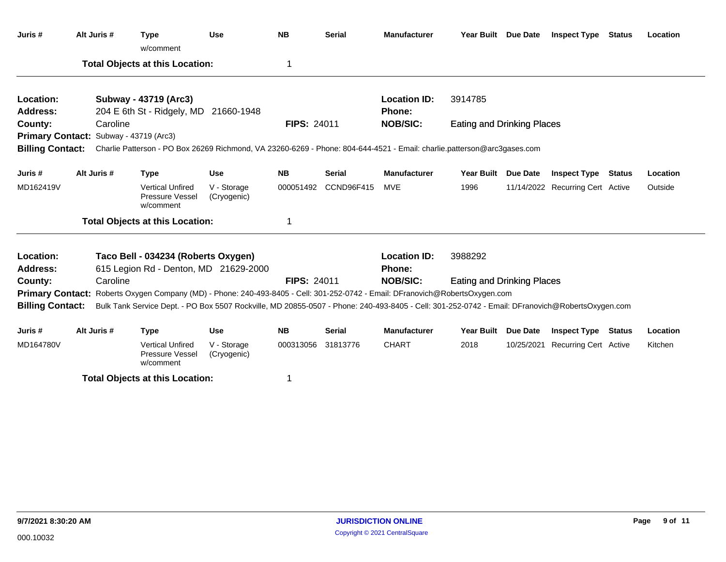| Juris #                 | Alt Juris # | <b>Type</b><br>w/comment                                                                                                                        | <b>Use</b>                 | <b>NB</b>          | <b>Serial</b> | <b>Manufacturer</b> |                                   | Year Built Due Date | <b>Inspect Type Status</b>       |               | Location |
|-------------------------|-------------|-------------------------------------------------------------------------------------------------------------------------------------------------|----------------------------|--------------------|---------------|---------------------|-----------------------------------|---------------------|----------------------------------|---------------|----------|
|                         |             | <b>Total Objects at this Location:</b>                                                                                                          |                            | 1                  |               |                     |                                   |                     |                                  |               |          |
| Location:               |             | Subway - 43719 (Arc3)                                                                                                                           |                            |                    |               | <b>Location ID:</b> | 3914785                           |                     |                                  |               |          |
| <b>Address:</b>         |             | 204 E 6th St - Ridgely, MD 21660-1948                                                                                                           |                            |                    |               | Phone:              |                                   |                     |                                  |               |          |
| County:                 | Caroline    |                                                                                                                                                 |                            | <b>FIPS: 24011</b> |               | <b>NOB/SIC:</b>     | <b>Eating and Drinking Places</b> |                     |                                  |               |          |
|                         |             | Primary Contact: Subway - 43719 (Arc3)                                                                                                          |                            |                    |               |                     |                                   |                     |                                  |               |          |
| <b>Billing Contact:</b> |             | Charlie Patterson - PO Box 26269 Richmond, VA 23260-6269 - Phone: 804-644-4521 - Email: charlie.patterson@arc3gases.com                         |                            |                    |               |                     |                                   |                     |                                  |               |          |
| Juris #                 | Alt Juris # | <b>Type</b>                                                                                                                                     | <b>Use</b>                 | <b>NB</b>          | <b>Serial</b> | <b>Manufacturer</b> | Year Built Due Date               |                     | <b>Inspect Type Status</b>       |               | Location |
| MD162419V               |             | <b>Vertical Unfired</b><br>Pressure Vessel<br>w/comment                                                                                         | V - Storage<br>(Cryogenic) | 000051492          | CCND96F415    | MVE                 | 1996                              |                     | 11/14/2022 Recurring Cert Active |               | Outside  |
|                         |             | <b>Total Objects at this Location:</b>                                                                                                          |                            | 1                  |               |                     |                                   |                     |                                  |               |          |
| Location:               |             | Taco Bell - 034234 (Roberts Oxygen)                                                                                                             |                            |                    |               | <b>Location ID:</b> | 3988292                           |                     |                                  |               |          |
| <b>Address:</b>         |             | 615 Legion Rd - Denton, MD 21629-2000                                                                                                           |                            |                    |               | <b>Phone:</b>       |                                   |                     |                                  |               |          |
| County:                 | Caroline    |                                                                                                                                                 |                            | <b>FIPS: 24011</b> |               | <b>NOB/SIC:</b>     | <b>Eating and Drinking Places</b> |                     |                                  |               |          |
|                         |             | Primary Contact: Roberts Oxygen Company (MD) - Phone: 240-493-8405 - Cell: 301-252-0742 - Email: DFranovich@RobertsOxygen.com                   |                            |                    |               |                     |                                   |                     |                                  |               |          |
| <b>Billing Contact:</b> |             | Bulk Tank Service Dept. - PO Box 5507 Rockville, MD 20855-0507 - Phone: 240-493-8405 - Cell: 301-252-0742 - Email: DFranovich@RobertsOxygen.com |                            |                    |               |                     |                                   |                     |                                  |               |          |
| Juris #                 | Alt Juris # | <b>Type</b>                                                                                                                                     | Use                        | <b>NB</b>          | <b>Serial</b> | <b>Manufacturer</b> | <b>Year Built</b>                 | Due Date            | <b>Inspect Type</b>              | <b>Status</b> | Location |
| MD164780V               |             | <b>Vertical Unfired</b><br>Pressure Vessel<br>w/comment                                                                                         | V - Storage<br>(Cryogenic) | 000313056          | 31813776      | <b>CHART</b>        | 2018                              |                     | 10/25/2021 Recurring Cert Active |               | Kitchen  |

**Total Objects at this Location:** 1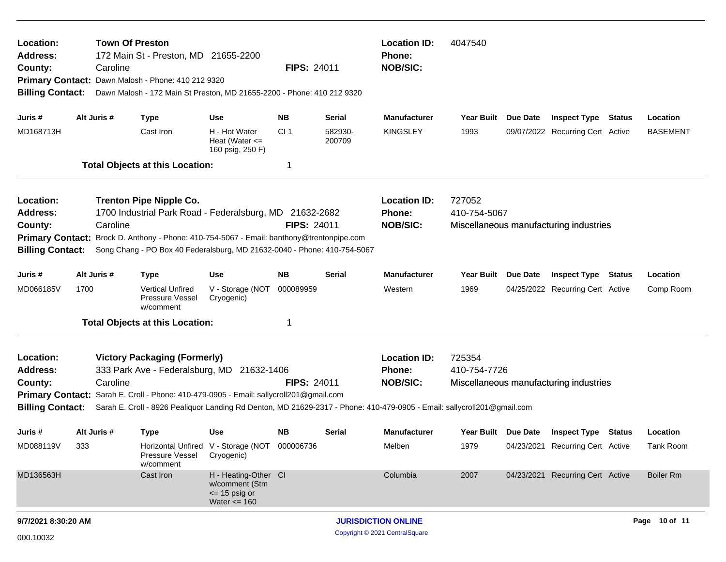| Location:<br><b>Address:</b><br>County:<br><b>Billing Contact:</b> |                                                                                                                                                                                                                                                                                                                                                                     | <b>Town Of Preston</b><br>172 Main St - Preston, MD 21655-2200<br>Caroline<br><b>FIPS: 24011</b><br>Primary Contact: Dawn Malosh - Phone: 410 212 9320<br>Dawn Malosh - 172 Main St Preston, MD 21655-2200 - Phone: 410 212 9320 |                                                                                |                            |                   | <b>Location ID:</b><br><b>Phone:</b><br><b>NOB/SIC:</b> | 4047540                                                          |          |                                  |               |                  |  |
|--------------------------------------------------------------------|---------------------------------------------------------------------------------------------------------------------------------------------------------------------------------------------------------------------------------------------------------------------------------------------------------------------------------------------------------------------|----------------------------------------------------------------------------------------------------------------------------------------------------------------------------------------------------------------------------------|--------------------------------------------------------------------------------|----------------------------|-------------------|---------------------------------------------------------|------------------------------------------------------------------|----------|----------------------------------|---------------|------------------|--|
| Juris #                                                            | Alt Juris #                                                                                                                                                                                                                                                                                                                                                         | Type                                                                                                                                                                                                                             | <b>Use</b>                                                                     | NB.                        | Serial            | Manufacturer                                            | <b>Year Built</b>                                                | Due Date | <b>Inspect Type</b>              | Status        | Location         |  |
| MD168713H                                                          |                                                                                                                                                                                                                                                                                                                                                                     | Cast Iron                                                                                                                                                                                                                        | H - Hot Water<br>Heat (Water $\leq$<br>160 psig, 250 F)                        | CI <sub>1</sub>            | 582930-<br>200709 | <b>KINGSLEY</b>                                         | 1993                                                             |          | 09/07/2022 Recurring Cert Active |               | <b>BASEMENT</b>  |  |
|                                                                    |                                                                                                                                                                                                                                                                                                                                                                     | <b>Total Objects at this Location:</b>                                                                                                                                                                                           |                                                                                | 1                          |                   |                                                         |                                                                  |          |                                  |               |                  |  |
| Location:<br><b>Address:</b><br>County:                            | <b>Trenton Pipe Nipple Co.</b><br>1700 Industrial Park Road - Federalsburg, MD 21632-2682<br><b>FIPS: 24011</b><br>Caroline<br>Primary Contact: Brock D. Anthony - Phone: 410-754-5067 - Email: banthony@trentonpipe.com<br><b>Billing Contact:</b><br>Song Chang - PO Box 40 Federalsburg, MD 21632-0040 - Phone: 410-754-5067                                     |                                                                                                                                                                                                                                  |                                                                                |                            |                   | <b>Location ID:</b><br><b>Phone:</b><br><b>NOB/SIC:</b> | 727052<br>410-754-5067<br>Miscellaneous manufacturing industries |          |                                  |               |                  |  |
| Juris #                                                            | Alt Juris #                                                                                                                                                                                                                                                                                                                                                         | <b>Type</b>                                                                                                                                                                                                                      | <b>Use</b>                                                                     | <b>NB</b>                  | <b>Serial</b>     | <b>Manufacturer</b>                                     | <b>Year Built</b>                                                | Due Date | <b>Inspect Type</b>              | <b>Status</b> | Location         |  |
| MD066185V                                                          | 1700                                                                                                                                                                                                                                                                                                                                                                | <b>Vertical Unfired</b><br>Pressure Vessel<br>w/comment                                                                                                                                                                          | V - Storage (NOT<br>Cryogenic)                                                 | 000089959                  |                   | Western                                                 | 1969                                                             |          | 04/25/2022 Recurring Cert Active |               | Comp Room        |  |
|                                                                    |                                                                                                                                                                                                                                                                                                                                                                     | <b>Total Objects at this Location:</b>                                                                                                                                                                                           |                                                                                | 1                          |                   |                                                         |                                                                  |          |                                  |               |                  |  |
| Location:<br><b>Address:</b><br>County:                            | <b>Victory Packaging (Formerly)</b><br>333 Park Ave - Federalsburg, MD 21632-1406<br><b>FIPS: 24011</b><br>Caroline<br>Primary Contact: Sarah E. Croll - Phone: 410-479-0905 - Email: sallycroll201@gmail.com<br><b>Billing Contact:</b><br>Sarah E. Croll - 8926 Pealiquor Landing Rd Denton, MD 21629-2317 - Phone: 410-479-0905 - Email: sallycroll201@gmail.com |                                                                                                                                                                                                                                  |                                                                                |                            |                   | <b>Location ID:</b><br><b>Phone:</b><br><b>NOB/SIC:</b> | 725354<br>410-754-7726<br>Miscellaneous manufacturing industries |          |                                  |               |                  |  |
| Juris #                                                            | Alt Juris #                                                                                                                                                                                                                                                                                                                                                         | <b>Type</b>                                                                                                                                                                                                                      | <b>Use</b>                                                                     | NB.                        | <b>Serial</b>     | Manufacturer                                            | Year Built Due Date                                              |          | <b>Inspect Type</b>              | Status        | Location         |  |
| MD088119V                                                          | 333                                                                                                                                                                                                                                                                                                                                                                 | Pressure Vessel<br>w/comment                                                                                                                                                                                                     | Horizontal Unfired V - Storage (NOT<br>Cryogenic)                              | 000006736                  |                   | Melben                                                  | 1979                                                             |          | 04/23/2021 Recurring Cert Active |               | Tank Room        |  |
| MD136563H                                                          |                                                                                                                                                                                                                                                                                                                                                                     | Cast Iron                                                                                                                                                                                                                        | H - Heating-Other CI<br>w/comment (Stm<br>$\le$ 15 psig or<br>Water $\leq$ 160 |                            |                   | Columbia                                                | 2007                                                             |          | 04/23/2021 Recurring Cert Active |               | <b>Boiler Rm</b> |  |
| 9/7/2021 8:30:20 AM                                                |                                                                                                                                                                                                                                                                                                                                                                     |                                                                                                                                                                                                                                  |                                                                                | <b>JURISDICTION ONLINE</b> |                   |                                                         |                                                                  |          |                                  |               | Page 10 of 11    |  |